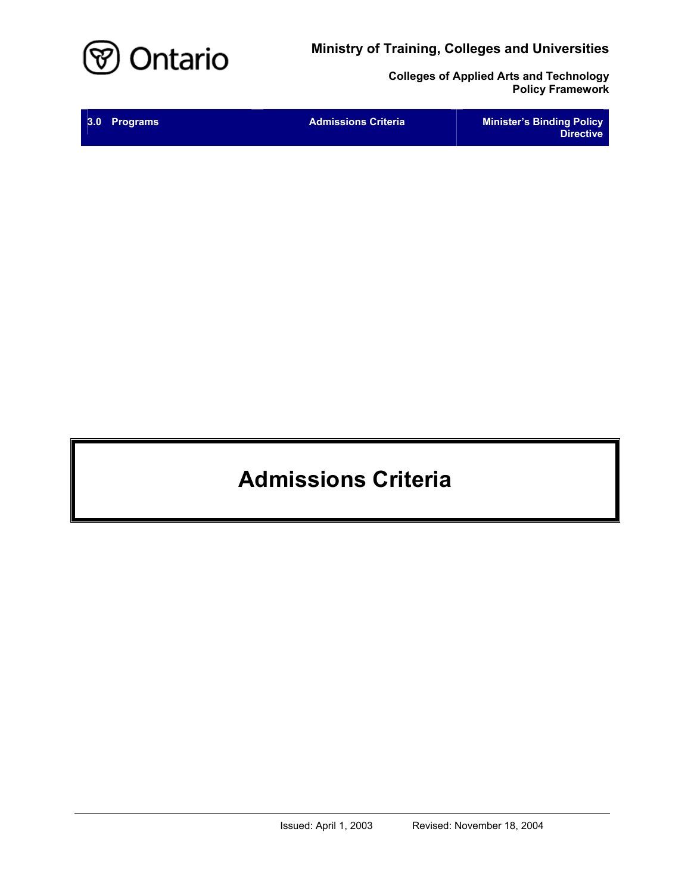**Ministry of Training, Colleges and Universities** 



**Colleges of Applied Arts and Technology Policy Framework** 

| 3.0 Programs | <b>Admissions Criteria</b> | <b>Minister's Binding Policy</b><br><b>Directive</b> |
|--------------|----------------------------|------------------------------------------------------|
|              |                            |                                                      |

# **Admissions Criteria**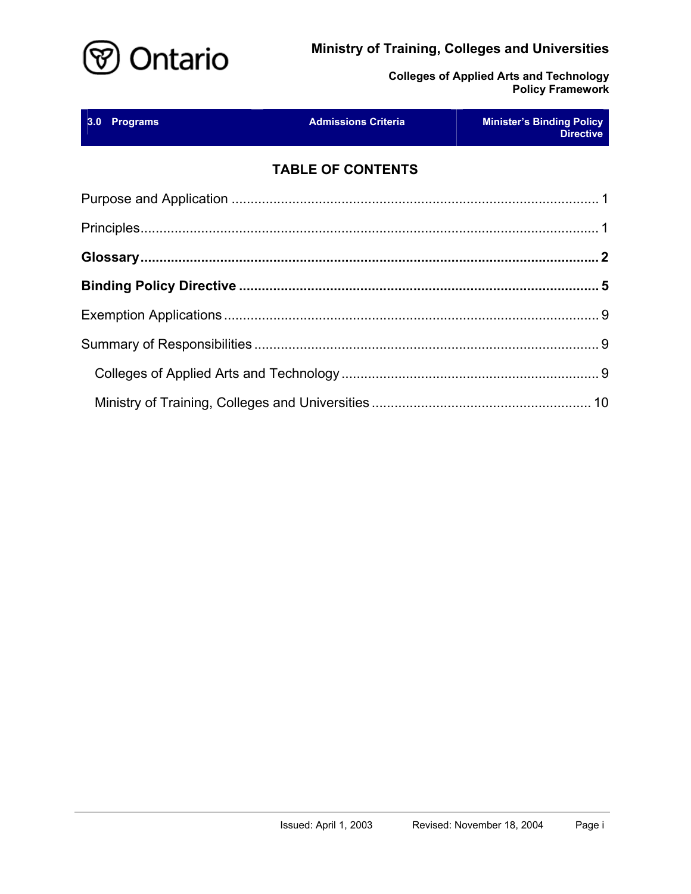# **Ministry of Training, Colleges and Universities**



**Colleges of Applied Arts and Technology Policy Framework** 

| 3.0 Programs | <b>Admissions Criteria Admissions Criteria</b><br><u> 1999 - Johann Barnett, f</u> | <b>Minister's Binding Policy</b><br><b>Directive</b> |
|--------------|------------------------------------------------------------------------------------|------------------------------------------------------|
|              | <b>TABLE OF CONTENTS</b>                                                           |                                                      |
|              |                                                                                    |                                                      |
|              |                                                                                    |                                                      |
|              |                                                                                    |                                                      |
|              |                                                                                    |                                                      |
|              |                                                                                    |                                                      |
|              |                                                                                    |                                                      |
|              |                                                                                    |                                                      |
|              |                                                                                    |                                                      |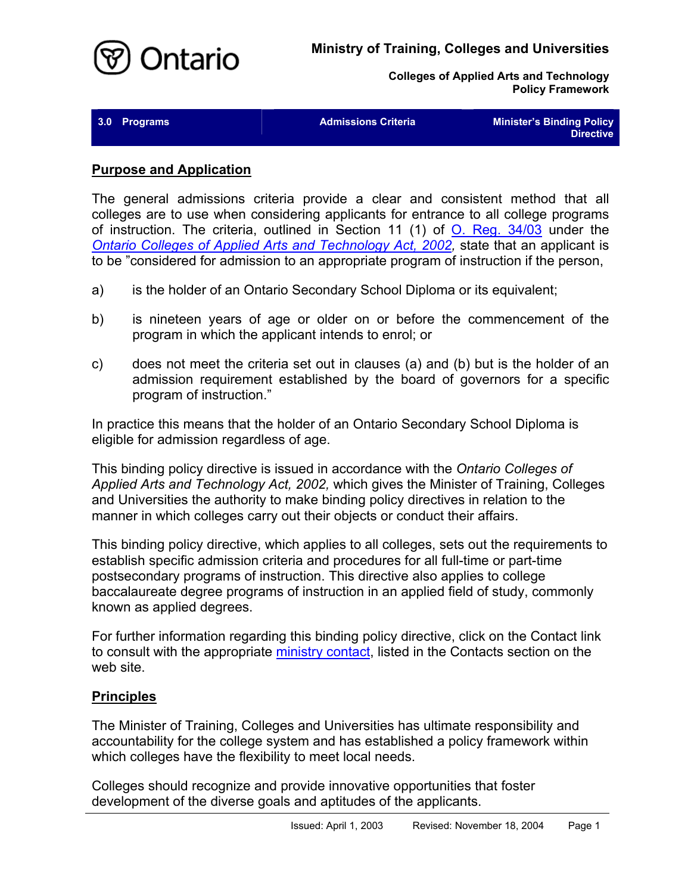

| 3.0<br><b>Programs</b> |
|------------------------|
|------------------------|

**3.0 Admissions Criteria Minister's Binding Policy Directive** 

#### <span id="page-2-0"></span>**Purpose and Application**

The general admissions criteria provide a clear and consistent method that all colleges are to use when considering applicants for entrance to all college programs of instruction. The criteria, outlined in Section 11 (1) of [O. Reg. 34/03](http://www.e-laws.gov.on.ca/html/regs/english/elaws_regs_030034_e.htm) under the *[Ontario Colleges of Applied Arts and Technology Act, 2002,](http://www.e-laws.gov.on.ca/html/statutes/english/elaws_statutes_02o08f_e.htm)* state that an applicant is to be "considered for admission to an appropriate program of instruction if the person,

- a) is the holder of an Ontario Secondary School Diploma or its equivalent;
- b) is nineteen years of age or older on or before the commencement of the program in which the applicant intends to enrol; or
- c) does not meet the criteria set out in clauses (a) and (b) but is the holder of an admission requirement established by the board of governors for a specific program of instruction."

In practice this means that the holder of an Ontario Secondary School Diploma is eligible for admission regardless of age.

This binding policy directive is issued in accordance with the *Ontario Colleges of Applied Arts and Technology Act, 2002,* which gives the Minister of Training, Colleges and Universities the authority to make binding policy directives in relation to the manner in which colleges carry out their objects or conduct their affairs.

This binding policy directive, which applies to all colleges, sets out the requirements to establish specific admission criteria and procedures for all full-time or part-time postsecondary programs of instruction. This directive also applies to college baccalaureate degree programs of instruction in an applied field of study, commonly known as applied degrees.

For further information regarding this binding policy directive, click on the Contact link to consult with the appropriate [ministry contact,](http://caat.edu.gov.on.ca/HTMLpages/Contacts_Eng.html#Admissions_Policy) listed in the Contacts section on the web site.

## <span id="page-2-1"></span>**Principles**

The Minister of Training, Colleges and Universities has ultimate responsibility and accountability for the college system and has established a policy framework within which colleges have the flexibility to meet local needs.

Colleges should recognize and provide innovative opportunities that foster development of the diverse goals and aptitudes of the applicants.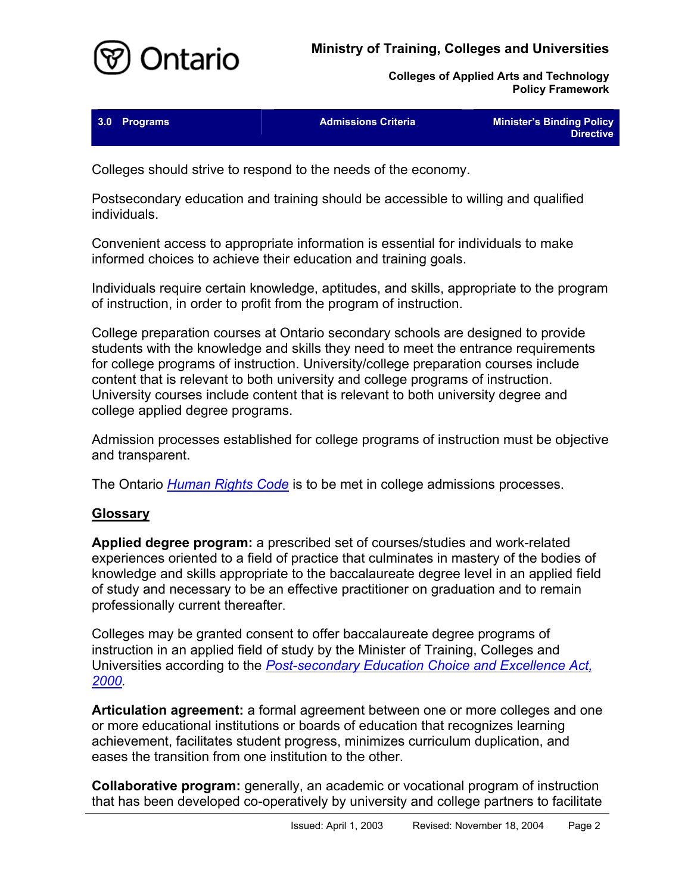# **Ministry of Training, Colleges and Universities**



**Colleges of Applied Arts and Technology Policy Framework** 

| 3.0 Programs | <b>Admissions Criteria</b> | <b>Minister's Binding Policy</b> |
|--------------|----------------------------|----------------------------------|
|              |                            | <b>Directive</b>                 |

Colleges should strive to respond to the needs of the economy.

Postsecondary education and training should be accessible to willing and qualified individuals.

Convenient access to appropriate information is essential for individuals to make informed choices to achieve their education and training goals.

Individuals require certain knowledge, aptitudes, and skills, appropriate to the program of instruction, in order to profit from the program of instruction.

College preparation courses at Ontario secondary schools are designed to provide students with the knowledge and skills they need to meet the entrance requirements for college programs of instruction. University/college preparation courses include content that is relevant to both university and college programs of instruction. University courses include content that is relevant to both university degree and college applied degree programs.

Admission processes established for college programs of instruction must be objective and transparent.

The Ontario *[Human Rights Code](http://www.e-laws.gov.on.ca/html/statutes/english/elaws_statutes_90h19_e.htm)* is to be met in college admissions processes.

#### <span id="page-3-0"></span>**Glossary**

**Applied degree program:** a prescribed set of courses/studies and work-related experiences oriented to a field of practice that culminates in mastery of the bodies of knowledge and skills appropriate to the baccalaureate degree level in an applied field of study and necessary to be an effective practitioner on graduation and to remain professionally current thereafter.

Colleges may be granted consent to offer baccalaureate degree programs of instruction in an applied field of study by the Minister of Training, Colleges and Universities according to the *[Post-secondary Education Choice and Excellence Act,](http://www.e-laws.gov.on.ca/html/statutes/english/elaws_statutes_00p36_e.htm)  [2000.](http://www.e-laws.gov.on.ca/html/statutes/english/elaws_statutes_00p36_e.htm)* 

**Articulation agreement:** a formal agreement between one or more colleges and one or more educational institutions or boards of education that recognizes learning achievement, facilitates student progress, minimizes curriculum duplication, and eases the transition from one institution to the other.

**Collaborative program:** generally, an academic or vocational program of instruction that has been developed co-operatively by university and college partners to facilitate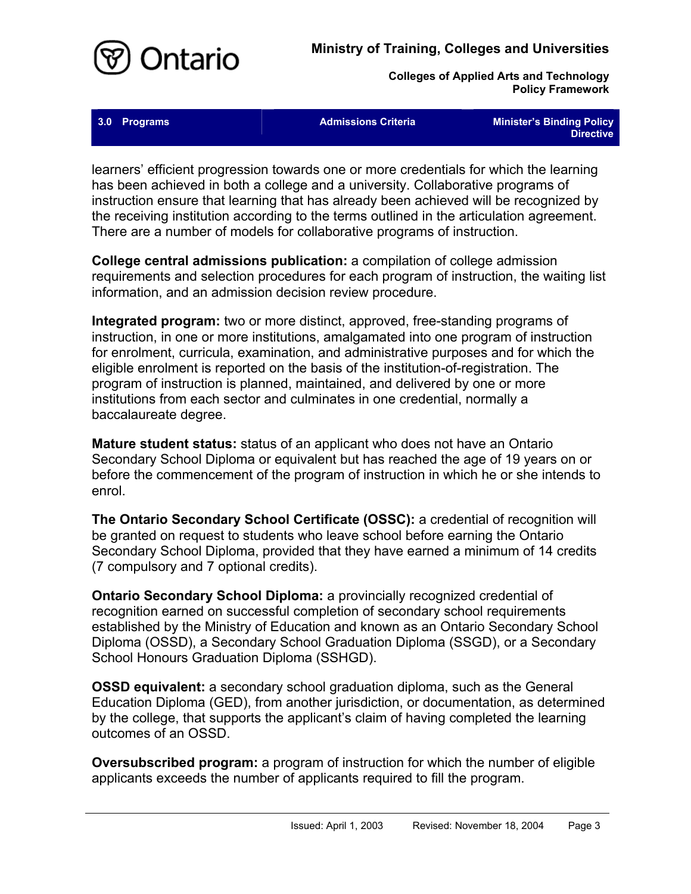

**2.0 Programs Admissions Criteria Minister's Binding Policy <b>Admissions Criteria** Minister's Binding Policy **Directive** 

learners' efficient progression towards one or more credentials for which the learning has been achieved in both a college and a university. Collaborative programs of instruction ensure that learning that has already been achieved will be recognized by the receiving institution according to the terms outlined in the articulation agreement. There are a number of models for collaborative programs of instruction.

**College central admissions publication:** a compilation of college admission requirements and selection procedures for each program of instruction, the waiting list information, and an admission decision review procedure.

**Integrated program:** two or more distinct, approved, free-standing programs of instruction, in one or more institutions, amalgamated into one program of instruction for enrolment, curricula, examination, and administrative purposes and for which the eligible enrolment is reported on the basis of the institution-of-registration. The program of instruction is planned, maintained, and delivered by one or more institutions from each sector and culminates in one credential, normally a baccalaureate degree.

**Mature student status:** status of an applicant who does not have an Ontario Secondary School Diploma or equivalent but has reached the age of 19 years on or before the commencement of the program of instruction in which he or she intends to enrol.

**The Ontario Secondary School Certificate (OSSC):** a credential of recognition will be granted on request to students who leave school before earning the Ontario Secondary School Diploma, provided that they have earned a minimum of 14 credits (7 compulsory and 7 optional credits).

**Ontario Secondary School Diploma:** a provincially recognized credential of recognition earned on successful completion of secondary school requirements established by the Ministry of Education and known as an Ontario Secondary School Diploma (OSSD), a Secondary School Graduation Diploma (SSGD), or a Secondary School Honours Graduation Diploma (SSHGD).

**OSSD equivalent:** a secondary school graduation diploma, such as the General Education Diploma (GED), from another jurisdiction, or documentation, as determined by the college, that supports the applicant's claim of having completed the learning outcomes of an OSSD.

**Oversubscribed program:** a program of instruction for which the number of eligible applicants exceeds the number of applicants required to fill the program.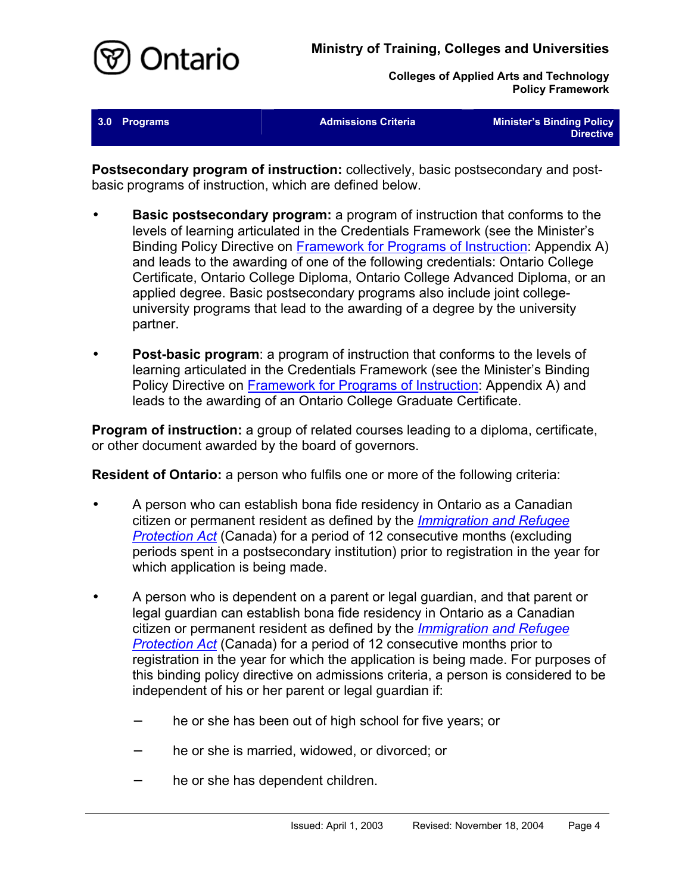

| 3.0 Programs | <b>Admissions Criteria</b> | <b>Minister's Binding Policy</b><br><b>Directive</b> |
|--------------|----------------------------|------------------------------------------------------|
|              |                            |                                                      |

**Postsecondary program of instruction:** collectively, basic postsecondary and postbasic programs of instruction, which are defined below.

- **Basic postsecondary program:** a program of instruction that conforms to the levels of learning articulated in the Credentials Framework (see the Minister's Binding Policy Directive on [Framework for Programs of Instruction:](http://caat.edu.gov.on.ca/HTMLpages/Programs_Eng.html#Program_Framework) Appendix A) and leads to the awarding of one of the following credentials: Ontario College Certificate, Ontario College Diploma, Ontario College Advanced Diploma, or an applied degree. Basic postsecondary programs also include joint collegeuniversity programs that lead to the awarding of a degree by the university partner.
- **Post-basic program**: a program of instruction that conforms to the levels of learning articulated in the Credentials Framework (see the Minister's Binding Policy Directive on [Framework for Programs of Instruction:](http://caat.edu.gov.on.ca/HTMLpages/Programs_Eng.html#Program_Framework) Appendix A) and leads to the awarding of an Ontario College Graduate Certificate.

**Program of instruction:** a group of related courses leading to a diploma, certificate, or other document awarded by the board of governors.

**Resident of Ontario:** a person who fulfils one or more of the following criteria:

- A person who can establish bona fide residency in Ontario as a Canadian citizen or permanent resident as defined by the *[Immigration and Refugee](http://laws.justice.gc.ca/en/I-2.5) [Protection Act](http://laws.justice.gc.ca/en/I-2.5)* (Canada) for a period of 12 consecutive months (excluding periods spent in a postsecondary institution) prior to registration in the year for which application is being made.
- A person who is dependent on a parent or legal guardian, and that parent or legal guardian can establish bona fide residency in Ontario as a Canadian citizen or permanent resident as defined by the *[Immigration and Refugee](http://laws.justice.gc.ca/en/I-2.5)* **[Protection Act](http://laws.justice.gc.ca/en/I-2.5)** (Canada) for a period of 12 consecutive months prior to registration in the year for which the application is being made. For purposes of this binding policy directive on admissions criteria, a person is considered to be independent of his or her parent or legal guardian if:
	- he or she has been out of high school for five years; or
	- he or she is married, widowed, or divorced; or
	- − he or she has dependent children.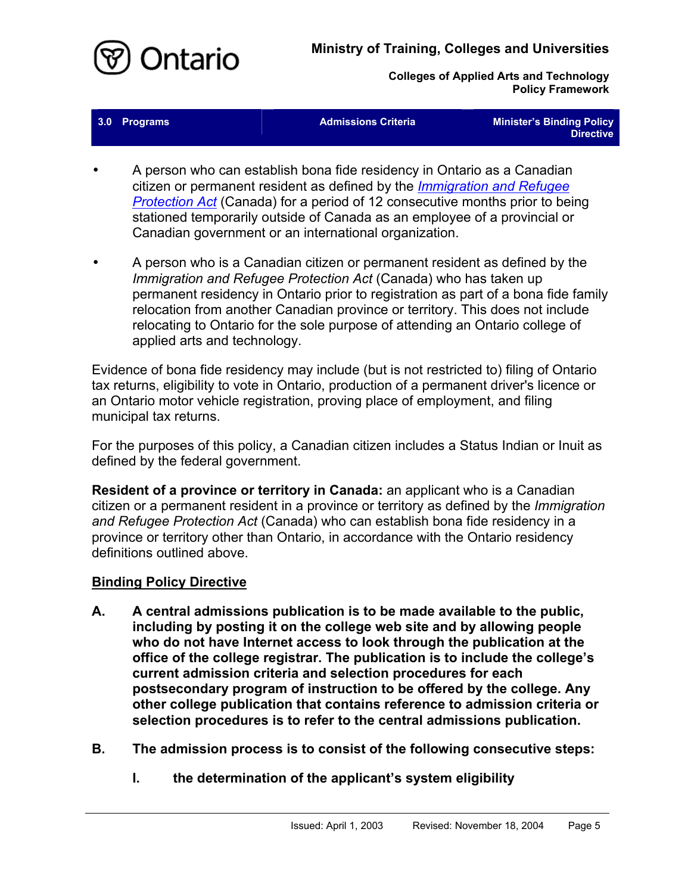

| 3.0 Programs | <b>Admissions Criteria</b> | <b>Minister's Binding Policy</b><br>Directive 1 |
|--------------|----------------------------|-------------------------------------------------|
|--------------|----------------------------|-------------------------------------------------|

- A person who can establish bona fide residency in Ontario as a Canadian citizen or permanent resident as defined by the *[Immigration and Refugee](http://laws.justice.gc.ca/en/I-2.5) [Protection Act](http://laws.justice.gc.ca/en/I-2.5)* (Canada) for a period of 12 consecutive months prior to being stationed temporarily outside of Canada as an employee of a provincial or Canadian government or an international organization.
- A person who is a Canadian citizen or permanent resident as defined by the *Immigration and Refugee Protection Act* (Canada) who has taken up permanent residency in Ontario prior to registration as part of a bona fide family relocation from another Canadian province or territory. This does not include relocating to Ontario for the sole purpose of attending an Ontario college of applied arts and technology.

Evidence of bona fide residency may include (but is not restricted to) filing of Ontario tax returns, eligibility to vote in Ontario, production of a permanent driver's licence or an Ontario motor vehicle registration, proving place of employment, and filing municipal tax returns.

For the purposes of this policy, a Canadian citizen includes a Status Indian or Inuit as defined by the federal government.

**Resident of a province or territory in Canada:** an applicant who is a Canadian citizen or a permanent resident in a province or territory as defined by the *Immigration and Refugee Protection Act* (Canada) who can establish bona fide residency in a province or territory other than Ontario, in accordance with the Ontario residency definitions outlined above.

## <span id="page-6-0"></span>**Binding Policy Directive**

- **A. A central admissions publication is to be made available to the public, including by posting it on the college web site and by allowing people who do not have Internet access to look through the publication at the office of the college registrar. The publication is to include the college's current admission criteria and selection procedures for each postsecondary program of instruction to be offered by the college. Any other college publication that contains reference to admission criteria or selection procedures is to refer to the central admissions publication.**
- **B. The admission process is to consist of the following consecutive steps:**
	- **I. the determination of the applicant's system eligibility**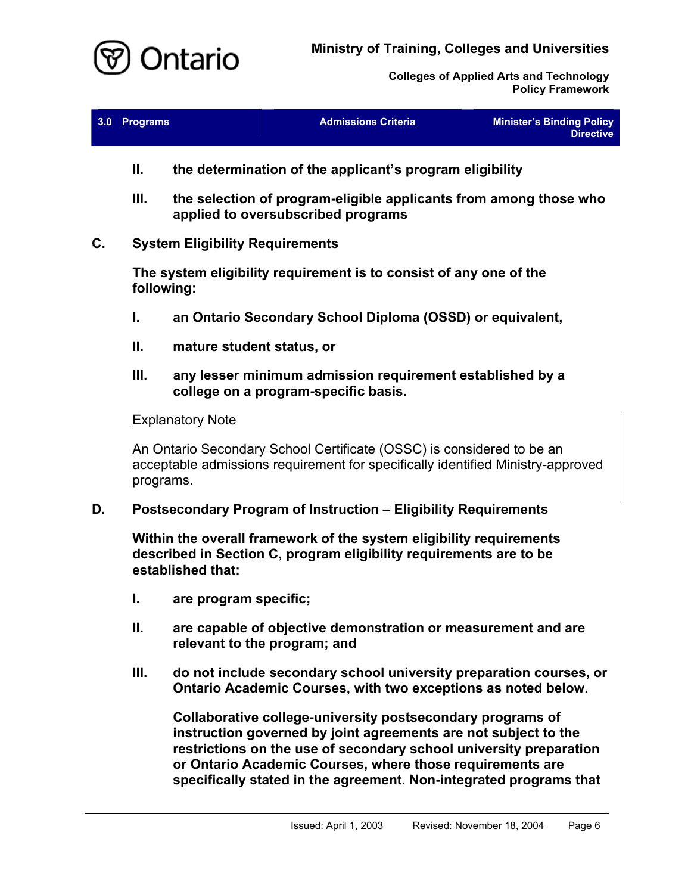

| 3.0 Programs | <b>Admissions Criteria</b> | <b>Minister's Binding Policy</b><br><b>Directive</b> |
|--------------|----------------------------|------------------------------------------------------|
|              |                            |                                                      |

- **II. the determination of the applicant's program eligibility**
- **III. the selection of program-eligible applicants from among those who applied to oversubscribed programs**

## **C. System Eligibility Requirements**

**The system eligibility requirement is to consist of any one of the following:**

- **I. an Ontario Secondary School Diploma (OSSD) or equivalent,**
- **II. mature student status, or**
- **III. any lesser minimum admission requirement established by a college on a program-specific basis.**

#### **Explanatory Note**

An Ontario Secondary School Certificate (OSSC) is considered to be an acceptable admissions requirement for specifically identified Ministry-approved programs.

#### **D. Postsecondary Program of Instruction – Eligibility Requirements**

<span id="page-7-0"></span>**Within the overall framework of the system eligibility requirements described in Section C, program eligibility requirements are to be established that:**

- **I. are program specific;**
- **II. are capable of objective demonstration or measurement and are relevant to the program; and**
- **III. do not include secondary school university preparation courses, or Ontario Academic Courses, with two exceptions as noted below.**

**Collaborative college-university postsecondary programs of instruction governed by joint agreements are not subject to the restrictions on the use of secondary school university preparation or Ontario Academic Courses, where those requirements are specifically stated in the agreement. Non-integrated programs that**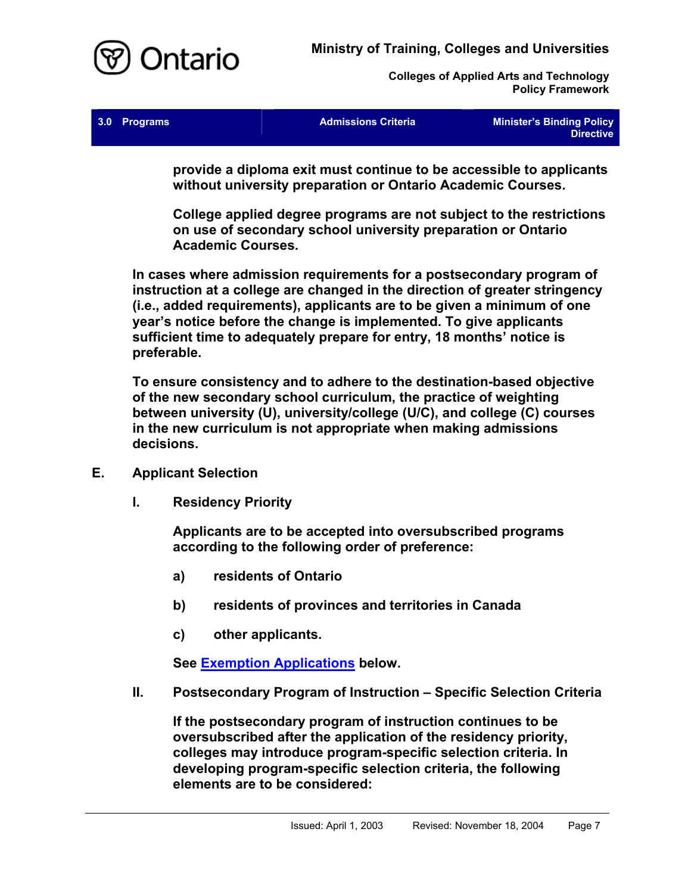

| <b>Admissions Criteria</b> | <b>Minister's Binding Policy</b><br>Directive |
|----------------------------|-----------------------------------------------|
|                            |                                               |

**provide a diploma exit must continue to be accessible to applicants without university preparation or Ontario Academic Courses.** 

**College applied degree programs are not subject to the restrictions on use of secondary school university preparation or Ontario Academic Courses.** 

**In cases where admission requirements for a postsecondary program of instruction at a college are changed in the direction of greater stringency (i.e., added requirements), applicants are to be given a minimum of one year's notice before the change is implemented. To give applicants sufficient time to adequately prepare for entry, 18 months' notice is preferable.** 

**To ensure consistency and to adhere to the destination-based objective of the new secondary school curriculum, the practice of weighting between university (U), university/college (U/C), and college (C) courses in the new curriculum is not appropriate when making admissions decisions.**

- **E. Applicant Selection**
	- **I. Residency Priority**

<span id="page-8-0"></span>**Applicants are to be accepted into oversubscribed programs according to the following order of preference:**

- **a) residents of Ontario**
- **b) residents of provinces and territories in Canada**
- **c) other applicants.**

**See [Exemption Applications](#page-10-0) below.**

**II. Postsecondary Program of Instruction – Specific Selection Criteria**

**If the postsecondary program of instruction continues to be oversubscribed after the application of the residency priority, colleges may introduce program-specific selection criteria. In developing program-specific selection criteria, the following elements are to be considered:**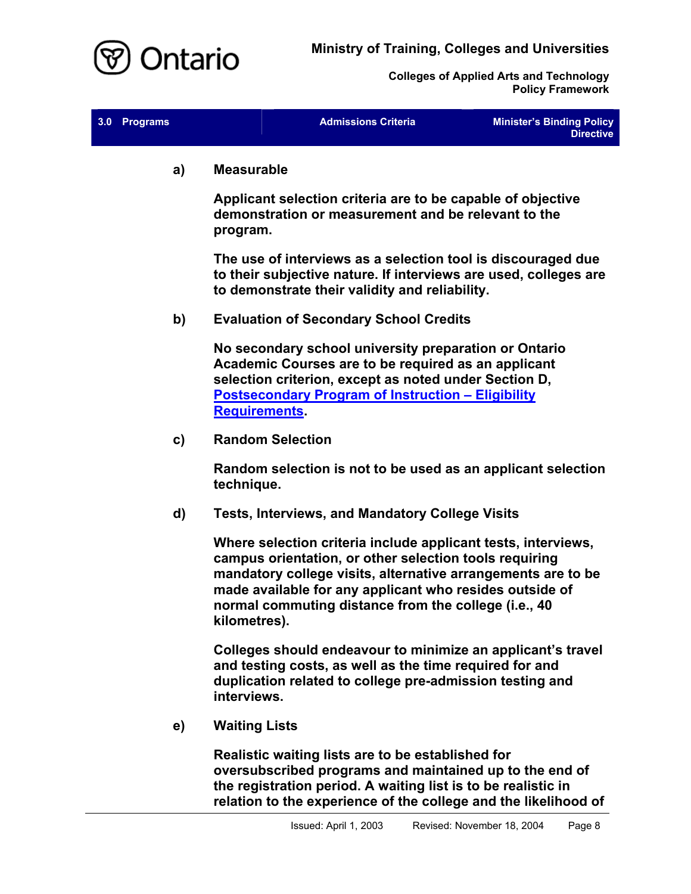

| 3.0 Programs | <b>Admissions Criteria</b> | Minister's Binding Policy<br><b>Directive</b> |
|--------------|----------------------------|-----------------------------------------------|
|              |                            |                                               |

**a) Measurable**

**Applicant selection criteria are to be capable of objective demonstration or measurement and be relevant to the program.**

**The use of interviews as a selection tool is discouraged due to their subjective nature. If interviews are used, colleges are to demonstrate their validity and reliability.**

**b) Evaluation of Secondary School Credits**

**No secondary school university preparation or Ontario Academic Courses are to be required as an applicant selection criterion, except as noted under Section D, [Postsecondary Program of Instruction – Eligibility](#page-7-0) [Requirements.](#page-7-0)**

**c) Random Selection**

**Random selection is not to be used as an applicant selection technique.**

**d) Tests, Interviews, and Mandatory College Visits**

**Where selection criteria include applicant tests, interviews, campus orientation, or other selection tools requiring mandatory college visits, alternative arrangements are to be made available for any applicant who resides outside of normal commuting distance from the college (i.e., 40 kilometres).**

**Colleges should endeavour to minimize an applicant's travel and testing costs, as well as the time required for and duplication related to college pre-admission testing and interviews.**

**e) Waiting Lists**

**Realistic waiting lists are to be established for oversubscribed programs and maintained up to the end of the registration period. A waiting list is to be realistic in relation to the experience of the college and the likelihood of**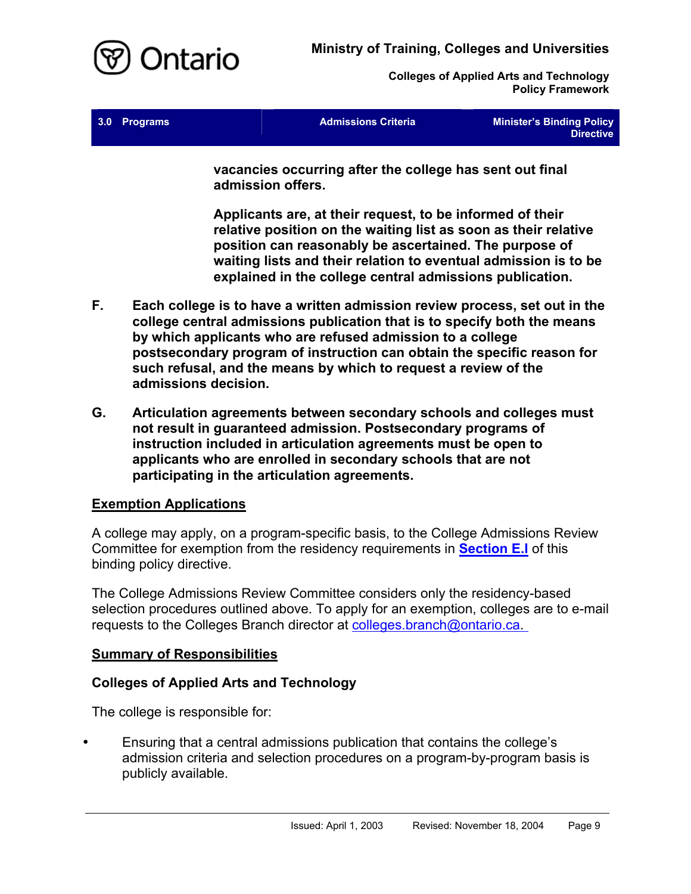

| 3.0 Programs | <b>Admissions Criteria</b> | <b>Minister's Binding Policy</b> |
|--------------|----------------------------|----------------------------------|
|              |                            | <b>Directive</b>                 |

**vacancies occurring after the college has sent out final admission offers.** 

**Applicants are, at their request, to be informed of their relative position on the waiting list as soon as their relative position can reasonably be ascertained. The purpose of waiting lists and their relation to eventual admission is to be explained in the college central admissions publication.** 

- **F. Each college is to have a written admission review process, set out in the college central admissions publication that is to specify both the means by which applicants who are refused admission to a college postsecondary program of instruction can obtain the specific reason for such refusal, and the means by which to request a review of the admissions decision.**
- **G. Articulation agreements between secondary schools and colleges must not result in guaranteed admission. Postsecondary programs of instruction included in articulation agreements must be open to applicants who are enrolled in secondary schools that are not participating in the articulation agreements.**

## <span id="page-10-0"></span>**Exemption Applications**

A college may apply, on a program-specific basis, to the College Admissions Review Committee for exemption from the residency requirements in **[Section E.I](#page-8-0)** of this binding policy directive.

The College Admissions Review Committee considers only the residency-based selection procedures outlined above. To apply for an exemption, colleges are to e-mail requests to the Colleges Branch director at [colleges.branch@](mailto:colleges.branch@ontario.ca)ontario.ca.

## <span id="page-10-1"></span>**Summary of Responsibilities**

## <span id="page-10-2"></span>**Colleges of Applied Arts and Technology**

The college is responsible for:

• Ensuring that a central admissions publication that contains the college's admission criteria and selection procedures on a program-by-program basis is publicly available.